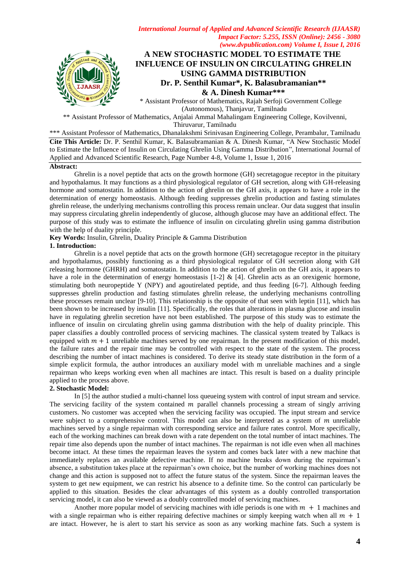

# **A NEW STOCHASTIC MODEL TO ESTIMATE THE INFLUENCE OF INSULIN ON CIRCULATING GHRELIN USING GAMMA DISTRIBUTION Dr. P. Senthil Kumar\*, K. Balasubramanian\*\* & A. Dinesh Kumar\*\*\***

\* Assistant Professor of Mathematics, Rajah Serfoji Government College (Autonomous), Thanjavur, Tamilnadu

\*\* Assistant Professor of Mathematics, Anjalai Ammal Mahalingam Engineering College, Kovilvenni, Thiruvarur, Tamilnadu

\*\*\* Assistant Professor of Mathematics, Dhanalakshmi Srinivasan Engineering College, Perambalur, Tamilnadu **Cite This Article:** Dr. P. Senthil Kumar, K. Balasubramanian & A. Dinesh Kumar, "A New Stochastic Model to Estimate the Influence of Insulin on Circulating Ghrelin Using Gamma Distribution", International Journal of Applied and Advanced Scientific Research, Page Number 4-8, Volume 1, Issue 1, 2016

# **Abstract:**

Ghrelin is a novel peptide that acts on the growth hormone (GH) secretagogue receptor in the pituitary and hypothalamus. It may functions as a third physiological regulator of GH secretion, along with GH-releasing hormone and somatostatin. In addition to the action of ghrelin on the GH axis, it appears to have a role in the determination of energy homeostasis. Although feeding suppresses ghrelin production and fasting stimulates ghrelin release, the underlying mechanisms controlling this process remain unclear. Our data suggest that insulin may suppress circulating ghrelin independently of glucose, although glucose may have an additional effect. The purpose of this study was to estimate the influence of insulin on circulating ghrelin using gamma distribution with the help of duality principle.

**Key Words:** Insulin, Ghrelin, Duality Principle & Gamma Distribution

# **1. Introduction:**

Ghrelin is a novel peptide that acts on the growth hormone (GH) secretagogue receptor in the pituitary and hypothalamus, possibly functioning as a third physiological regulator of GH secretion along with GH releasing hormone (GHRH) and somatostatin. In addition to the action of ghrelin on the GH axis, it appears to have a role in the determination of energy homeostasis [1-2] & [4]. Ghrelin acts as an orexigenic hormone, stimulating both neuropeptide Y (NPY) and agoutirelated peptide, and thus feeding [6-7]. Although feeding suppresses ghrelin production and fasting stimulates ghrelin release, the underlying mechanisms controlling these processes remain unclear [9-10]. This relationship is the opposite of that seen with leptin [11], which has been shown to be increased by insulin [11]. Specifically, the roles that alterations in plasma glucose and insulin have in regulating ghrelin secretion have not been established. The purpose of this study was to estimate the influence of insulin on circulating ghrelin using gamma distribution with the help of duality principle. This paper classifies a doubly controlled process of servicing machines. The classical system treated by Talkacs is equipped with  $m + 1$  unreliable machines served by one repairman. In the present modification of this model, the failure rates and the repair time may be controlled with respect to the state of the system. The process describing the number of intact machines is considered. To derive its steady state distribution in the form of a simple explicit formula, the author introduces an auxiliary model with m unreliable machines and a single repairman who keeps working even when all machines are intact. This result is based on a duality principle applied to the process above.

# **2. Stochastic Model:**

In [5] the author studied a multi-channel loss queueing system with control of input stream and service. The servicing facility of the system contained  $m$  parallel channels processing a stream of singly arriving customers. No customer was accepted when the servicing facility was occupied. The input stream and service were subject to a comprehensive control. This model can also be interpreted as a system of  $m$  unreliable machines served by a single repairman with corresponding service and failure rates control. More specifically, each of the working machines can break down with a rate dependent on the total number of intact machines. The repair time also depends upon the number of intact machines. The repairman is not idle even when all machines become intact. At these times the repairman leaves the system and comes back later with a new machine that immediately replaces an available defective machine. If no machine breaks down during the repairman's absence, a substitution takes place at the repairman's own choice, but the number of working machines does not change and this action is supposed not to affect the future status of the system. Since the repairman leaves the system to get new equipment, we can restrict his absence to a definite time. So the control can particularly be applied to this situation. Besides the clear advantages of this system as a doubly controlled transportation servicing model, it can also be viewed as a doubly controlled model of servicing machines.

Another more popular model of servicing machines with idle periods is one with  $m + 1$  machines and with a single repairman who is either repairing defective machines or simply keeping watch when all  $m + 1$ are intact. However, he is alert to start his service as soon as any working machine fats. Such a system is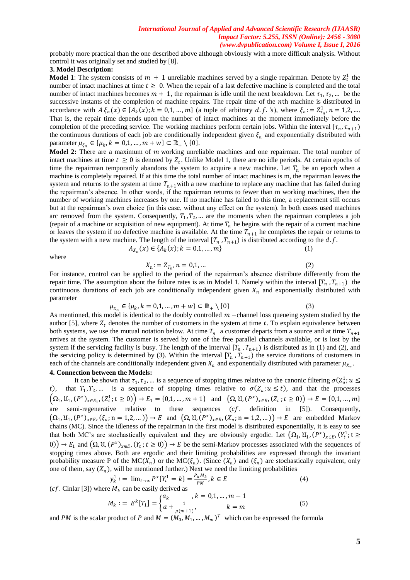probably more practical than the one described above although obviously with a more difficult analysis. Without control it was originally set and studied by [8].

### **3. Model Description:**

**Model 1**: The system consists of  $m + 1$  unreliable machines served by a single repairman. Denote by  $Z_t^1$  the number of intact machines at time  $t \geq 0$ . When the repair of a last defective machine is completed and the total number of intact machines becomes  $m + 1$ , the repairman is idle until the next breakdown. Let  $\tau_1, \tau_2, ...$  be the successive instants of the completion of machine repairs. The repair time of the *n*th machine is distributed in accordance with  $A \xi_n(x) \in \{A_k(x); k = 0, 1, ..., m\}$  (a tuple of arbitrary d.f. 's), where  $\xi_n := Z^1_{\tau_n}, n = 1, 2, ...$ That is, the repair time depends upon the number of intact machines at the moment immediately before the completion of the preceding service. The working machines perform certain jobs. Within the interval  $[\tau_n, \tau_{n+1})$ the continuous durations of each job are conditionally independent given  $\xi_n$  and exponentially distributed with parameter  $\mu_{\xi_n} \in {\{\mu_k, k = 0, 1, ..., m + w\}} \subset \mathbb{R}_+ \setminus \{0\}.$ 

**Model 2:** There are a maximum of *m* working unreliable machines and one repairman. The total number of intact machines at time  $t \geq 0$  is denoted by  $Z_t$ . Unlike Model 1, there are no idle periods. At certain epochs of time the repairman temporarily abandons the system to acquire a new machine. Let  $T_n$  be an epoch when a machine is completely repaired. If at this time the total number of intact machines is m, the repairman leaves the system and returns to the system at time  $T_{n+1}$ with a new machine to replace any machine that has failed during the repairman's absence. In other words, if the repairman returns to fewer than m working machines, then the number of working machines increases by one. If no machine has failed to this time, a replacement still occurs but at the repairman's own choice (in this case, without any effect on the system). In both cases used machines arc removed from the system. Consequently,  $T_1, T_2, \dots$  are the moments when the repairman completes a job (repair of a machine or acquisition of new equipment). At time  $T_n$  he begins with the repair of a current machine or leaves the system if no defective machine is available. At the time  $T_{n+1}$  he completes the repair or returns to the system with a new machine. The length of the interval  $[T_n, T_{n+1})$  is distributed according to the d.f.

$$
A_{X_n}(x) \in \{A_k(x); k = 0, 1, ..., m\}
$$
 (1)

where

$$
X_n := Z_{T_n}, n = 0, 1, \dots
$$
 (2)

For instance, control can be applied to the period of the repairman's absence distribute differently from the repair time. The assumption about the failure rates is as in Model 1. Namely within the interval  $[T_n, T_{n+1})$  the continuous durations of each job are conditionally independent given  $X_n$  and exponentially distributed with parameter

$$
\mu_{x_n} \in \{\mu_k, k = 0, 1, \dots, m + w\} \subset \mathbb{R}_+ \setminus \{0\} \tag{3}
$$

As mentioned, this model is identical to the doubly controlled  $m$  –channel loss queueing system studied by the author [5], where  $Z_t$  denotes the number of customers in the system at time t. To explain equivalence between both systems, we use the mutual notation below. At time  $T_n$  a customer departs from a source and at time  $T_{n+1}$ arrives at the system. The customer is served by one of the free parallel channels available, or is lost by the system if the servicing facility is busy. The length of the interval  $[T_n, T_{n+1})$  is distributed as in (1) and (2), and the servicing policy is determined by (3). Within the interval  $[T_n, T_{n+1})$  the service durations of customers in each of the channels are conditionally independent given  $X_n$  and exponentially distributed with parameter  $\mu_{X_n}$ .

#### **4. Connection between the Models:**

It can be shown that  $\tau_1, \tau_2, ...$  is a sequence of stopping times relative to the canonic filtering  $\sigma(Z_u^1; u \leq$ t), that  $T_1, T_2, ...$  is a sequence of stopping times relative to  $\sigma(Z_u; u \le t)$ , and that the processes  $(\Omega_1, \mathfrak{U}_1, (P^x)_{x \in E_1}, (Z_t^1; t \ge 0)) \to E_1 = \{0, 1, ..., m+1\}$  and  $(\Omega, \mathfrak{U}, (P^x)_{x \in E}, (Z_t; t \ge 0)) \to E = \{0, 1, ..., m\}$ are semi-regenerative relative to these sequences  $(cf.$  definition in [5]). Consequently,  $(\Omega_1, \mathfrak{U}_1, (P^x)_{x \in E}, (\xi_n; n = 1,2,...)) \to E$  and  $(\Omega, \mathfrak{U}, (P^x)_{x \in E}, (X_n; n = 1,2,...)) \to E$  are embedded Markov chains (MC). Since the idleness of the repairman in the first model is distributed exponentially, it is easy to see that both MC's are stochastically equivalent and they are obviously ergodic. Let  $(\Omega_1, \mathfrak{U}_1, (P^x)_{x \in E}, (Y_t^1; t \geq$ 0)  $\rightarrow E_1$  and  $(\Omega, \mathfrak{U}, (P^x)_{x \in E}, (Y_t; t \ge 0)) \rightarrow E$  be the semi-Markov processes associated with the sequences of stopping times above. Both are ergodic and their limiting probabilities are expressed through the invariant probability measure P of the MC( $X_n$ ) or the MC( $\xi_n$ ). (Since  $(X_n)$  and  $(\xi_n)$  are stochastically equivalent, only one of them, say  $(X_n)$ , will be mentioned further.) Next we need the limiting probabilities

$$
y_k^1 := \lim_{t \to \infty} P^x \{ Y_t^1 = k \} = \frac{P_k M_k}{PM}, k \in E
$$
 (4)

(cf. Cinlar [3]) where  $M_k$  can be easily derived as

$$
M_k := E^k[T_1] = \begin{cases} a_k, & k = 0, 1, ..., m - 1 \\ a + \frac{1}{\mu(m+1)}, & k = m \end{cases}
$$
(5)

and PM is the scalar product of P and  $M = (M_0, M_1, ..., M_m)^T$  which can be expressed the formula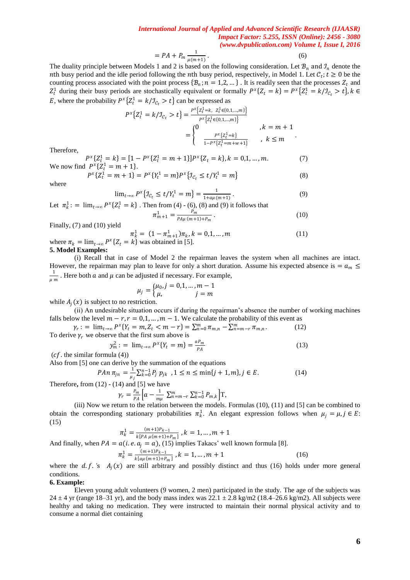$$
= PA + P_m \frac{1}{\mu(m+1)}.
$$
\n(6)

The duality principle between Models 1 and 2 is based on the following consideration. Let  $\mathcal{B}_n$  and  $\mathcal{I}_n$  denote the nth busy period and the idle period following the nth busy period, respectively, in Model 1. Let  $C_t$ ;  $t \ge 0$  be the counting process associated with the point process  $\{B_n; n = 1, 2, ...\}$ . It is readily seen that the processes  $Z_t$  and  $Z_t^1$  during their busy periods are stochastically equivalent or formally  $P^x \{Z_t = k\} = P^x \{Z_t^1 = k/\mathcal{I}_{C_t} > t\}$ ,  $k \in \mathbb{Z}$ E, where the probability  $P^x \{ Z_t^1 = k / \mathcal{I}_{C_t} > t \}$  can be expressed as

$$
P^{x}\left\{Z_{t}^{1} = k/J_{\mathcal{C}_{t}} > t\right\} = \frac{P^{x}\left\{Z_{t}^{1} = k, Z_{t}^{1} \in \{0, 1, \ldots, m\}\right\}}{P^{x}\left\{Z_{t}^{1} \in \{0, 1, \ldots, m\}\right\}} \qquad , k = m + 1
$$
\n
$$
= \begin{cases} 0 & k \in m + 1 \\ \frac{P^{x}\left\{Z_{t}^{1} = k\right\}}{1 - P^{x}\left\{Z_{t}^{1} = m + w + 1\right\}} & k \leq m \end{cases}
$$

Therefore,

 $P^{x}\{Z_t^1 = k\} = [1 - P^{x}\{Z_t^1 = m + 1\}]P^{x}\{Z_t = k\}, k = 0, 1, ..., m.$  (7) We now find  $P^x \{Z_t^1 = m + 1\}$ .

$$
P^{x}\{Z_{t}^{1} = m+1\} = P^{x}\{Y_{t}^{1} = m\}P^{x}\{J_{\mathcal{C}_{t}} \le t/Y_{t}^{1} = m\}
$$
\n(8)

where

$$
\lim_{t \to \infty} P^x \{ \mathcal{I}_{\mathcal{C}_t} \le t / Y_t^1 = m \} = \frac{1}{1 + a\mu(m+1)}.
$$
\n(9)

Let 
$$
\pi_k^1
$$
: =  $\lim_{t \to \infty} P^x \{Z_t^1 = k\}$ . Then from (4) - (6), (8) and (9) it follows that  

$$
\pi_{m+1}^1 = \frac{P_m}{P_{n+1}^1 - P_{n+1}^1 + P_{n+1}^1}
$$
.

$$
r_{n+1} = \frac{r_m}{P A \mu (m+1) + P_m} \,. \tag{10}
$$

Finally, (7) and (10) yield

$$
\pi_k^1 = (1 - \pi_{m+1}^1)\pi_k, k = 0, 1, \dots, m
$$
  
where  $\pi_k = \lim_{t \to \infty} P^x \{Z_t = k\}$  was obtained in [5]. (11)

**5. Model Examples:**

(i) Recall that in case of Model 2 the repairman leaves the system when all machines are intact. However, the repairman may plan to leave for only a short duration. Assume his expected absence is =  $a_m \leq a_m$ 1  $\frac{1}{\mu m}$ . Here both *a* and  $\mu$  can be adjusted if necessary. For example,

$$
\mu_j = \begin{cases} \mu_0, j = 0, 1, ..., m - 1 \\ \mu, & j = m \end{cases}
$$

while  $A_i(x)$  is subject to no restriction.

(ii) An undesirable situation occurs if during the repairman's absence the number of working machines falls below the level  $m - r$ ,  $r = 0,1, ..., m - 1$ . We calculate the probability of this event as

$$
\gamma_r := \lim_{t \to \infty} P^x \{ Y_t = m, Z_t < m - r \} = \sum_{n=0}^m \pi_{m,n} - \sum_{n=m-r}^m \pi_{m,n}.
$$
\n(12)

\nTo derive  $\gamma_r$  we observe that the first sum above is

$$
y_m^2 := \lim_{t \to \infty} P^x \{ Y_t = m \} = \frac{a P_m}{P A}
$$
(13)

 $(cf.$  the similar formula (4))

Also from [5] one can derive by the summation of the equations

$$
PAn \ \pi_{jn} = \frac{1}{\mu_j} \sum_{k=0}^{n-1} P_j \ p_{jk} \ , 1 \le n \le \min\{j+1,m\}, j \in E. \tag{14}
$$

Therefore, from 
$$
(12) - (14)
$$
 and  $[5]$  we have

$$
\gamma_r = \frac{P_m}{PA} \Big[ a - \frac{1}{m\mu} \sum_{m=m-r}^{m} \sum_{k=0}^{n-1} P_{m,k} \Big] \mathbf{T},
$$

(iii) Now we return to the relation between the models. Formulas (10), (11) and [5] can be combined to obtain the corresponding stationary probabilities  $\pi_k^1$ . An elegant expression follows when  $\mu_j = \mu, j \in E$ : (15)

$$
\pi_k^1 = \frac{(m+1)P_{k-1}}{k\left[PA \mu(m+1)+P_m\right]}, k = 1, \dots, m+1
$$

And finally, when  $PA = a(i.e. a_i = a)$ , (15) implies Takacs' well known formula [8].

$$
\pi_k^1 = \frac{(m+1)P_{k-1}}{k[a\mu(m+1)+P_m]}, k = 1, ..., m+1
$$
\n(16)

where the  $d.f.'s$   $A_i(x)$  are still arbitrary and possibly distinct and thus (16) holds under more general conditions.

#### **6. Example:**

Eleven young adult volunteers (9 women, 2 men) participated in the study. The age of the subjects was 24  $\pm$  4 yr (range 18–31 yr), and the body mass index was 22.1  $\pm$  2.8 kg/m2 (18.4–26.6 kg/m2). All subjects were healthy and taking no medication. They were instructed to maintain their normal physical activity and to consume a normal diet containing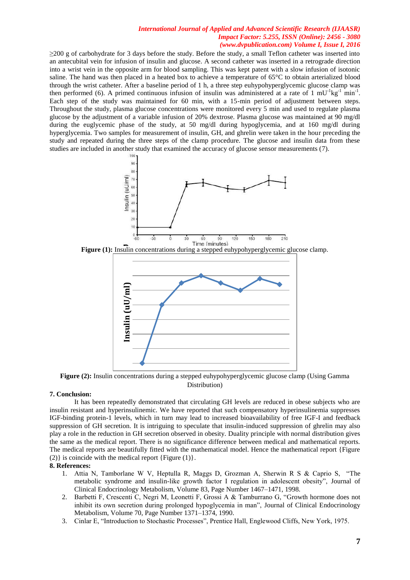≥200 g of carbohydrate for 3 days before the study. Before the study, a small Teflon catheter was inserted into an antecubital vein for infusion of insulin and glucose. A second catheter was inserted in a retrograde direction into a wrist vein in the opposite arm for blood sampling. This was kept patent with a slow infusion of isotonic saline. The hand was then placed in a heated box to achieve a temperature of 65°C to obtain arterialized blood through the wrist catheter. After a baseline period of 1 h, a three step euhypohyperglycemic glucose clamp was then performed (6). A primed continuous infusion of insulin was administered at a rate of  $1 \text{ mU}$ <sup>-1</sup>kg<sup>-1</sup> min<sup>-1</sup>. Each step of the study was maintained for 60 min, with a 15-min period of adjustment between steps. Throughout the study, plasma glucose concentrations were monitored every 5 min and used to regulate plasma glucose by the adjustment of a variable infusion of 20% dextrose. Plasma glucose was maintained at 90 mg/dl during the euglycemic phase of the study, at 50 mg/dl during hypoglycemia, and at 160 mg/dl during hyperglycemia. Two samples for measurement of insulin, GH, and ghrelin were taken in the hour preceding the study and repeated during the three steps of the clamp procedure. The glucose and insulin data from these studies are included in another study that examined the accuracy of glucose sensor measurements (7).







**Figure (2):** Insulin concentrations during a stepped euhypohyperglycemic glucose clamp (Using Gamma Distribution)

#### **7. Conclusion:**

It has been repeatedly demonstrated that circulating GH levels are reduced in obese subjects who are insulin resistant and hyperinsulinemic. We have reported that such compensatory hyperinsulinemia suppresses IGF-binding protein-1 levels, which in turn may lead to increased bioavailability of free IGF-I and feedback suppression of GH secretion. It is intriguing to speculate that insulin-induced suppression of ghrelin may also play a role in the reduction in GH secretion observed in obesity. Duality principle with normal distribution gives the same as the medical report. There is no significance difference between medical and mathematical reports. The medical reports are beautifully fitted with the mathematical model. Hence the mathematical report {Figure (2)} is coincide with the medical report {Figure (1)}. **Example 12.**<br> **Example 12.**<br> **Example 12.**<br> **Example 12.**<br> **Example 12.**<br> **Example 12.**<br> **Example 12.**<br> **Example 12.**<br> **Example 12.**<br> **Example 12.**<br> **Example 12.**<br> **Example 12.**<br> **Example 12.**<br> **Example 12.**<br> **Example 12.** 

#### **8. References:**

- 1. Attia N, Tamborlane W V, Heptulla R, Maggs D, Grozman A, Sherwin R S & Caprio S, "The metabolic syndrome and insulin-like growth factor I regulation in adolescent obesity", Journal of Clinical Endocrinology Metabolism, Volume 83, Page Number 1467–1471, 1998.
- 2. Barbetti F, Crescenti C, Negri M, Leonetti F, Grossi A & Tamburrano G, "Growth hormone does not inhibit its own secretion during prolonged hypoglycemia in man", Journal of Clinical Endocrinology Metabolism, Volume 70, Page Number 1371–1374, 1990.
-